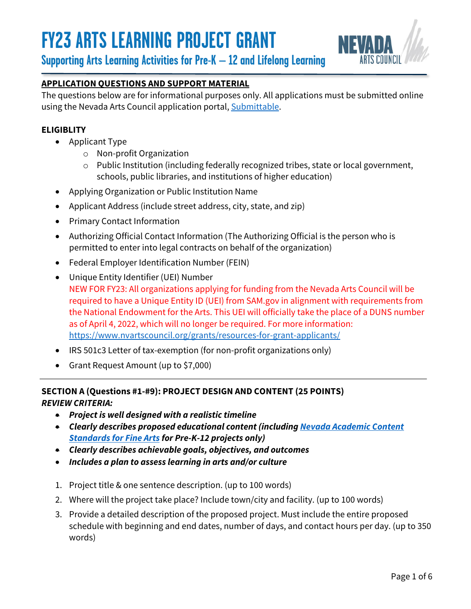

**Supporting Arts Learning Activities for Pre-K – 12 and Lifelong Learning**

#### **APPLICATION QUESTIONS AND SUPPORT MATERIAL**

The questions below are for informational purposes only. All applications must be submitted online using the Nevada Arts Council application portal, [Submittable.](https://nevadaartscouncil.submittable.com/submit)

#### **ELIGIBLITY**

- Applicant Type
	- o Non-profit Organization
	- o Public Institution (including federally recognized tribes, state or local government, schools, public libraries, and institutions of higher education)
- Applying Organization or Public Institution Name
- Applicant Address (include street address, city, state, and zip)
- Primary Contact Information
- Authorizing Official Contact Information (The Authorizing Official is the person who is permitted to enter into legal contracts on behalf of the organization)
- Federal Employer Identification Number (FEIN)
- Unique Entity Identifier (UEI) Number NEW FOR FY23: All organizations applying for funding from the Nevada Arts Council will be required to have a Unique Entity ID (UEI) from SAM.gov in alignment with requirements from the National Endowment for the Arts. This UEI will officially take the place of a DUNS number as of April 4, 2022, which will no longer be required. For more information: <https://www.nvartscouncil.org/grants/resources-for-grant-applicants/>
- IRS 501c3 Letter of tax-exemption (for non-profit organizations only)
- Grant Request Amount (up to \$7,000)

#### **SECTION A (Questions #1-#9): PROJECT DESIGN AND CONTENT (25 POINTS)** *REVIEW CRITERIA:*

- *Project is well designed with a realistic timeline*
- *Clearly describes proposed educational content (includin[g Nevada Academic Content](https://doe.nv.gov/Nevada_Academic_Standards/Fine_Arts/)  [Standards for Fine Arts](https://doe.nv.gov/Nevada_Academic_Standards/Fine_Arts/) for Pre-K-12 projects only)*
- *Clearly describes achievable goals, objectives, and outcomes*
- *Includes a plan to assess learning in arts and/or culture*
- 1. Project title & one sentence description. (up to 100 words)
- 2. Where will the project take place? Include town/city and facility. (up to 100 words)
- 3. Provide a detailed description of the proposed project. Must include the entire proposed schedule with beginning and end dates, number of days, and contact hours per day. (up to 350 words)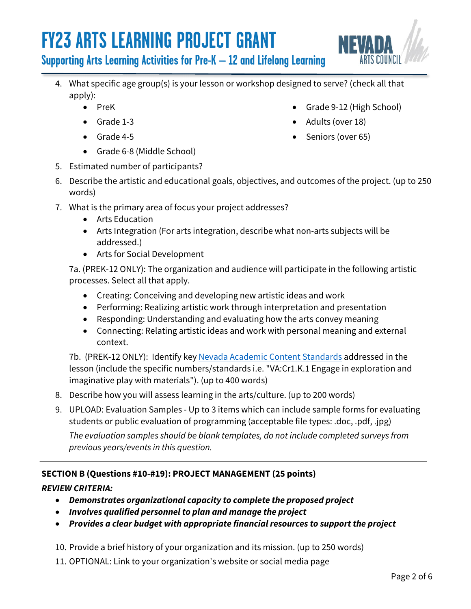

### **Supporting Arts Learning Activities for Pre-K – 12 and Lifelong Learning**

- 4. What specific age group(s) is your lesson or workshop designed to serve? (check all that apply):
	- PreK
	- Grade 1-3
	- Grade 4-5
	- Grade 6-8 (Middle School)
- 5. Estimated number of participants?
- 6. Describe the artistic and educational goals, objectives, and outcomes of the project. (up to 250 words)
- 7. What is the primary area of focus your project addresses?
	- Arts Education
	- Arts Integration (For arts integration, describe what non-arts subjects will be addressed.)
	- Arts for Social Development

7a. (PREK-12 ONLY): The organization and audience will participate in the following artistic processes. Select all that apply.

- Creating: Conceiving and developing new artistic ideas and work
- Performing: Realizing artistic work through interpretation and presentation
- Responding: Understanding and evaluating how the arts convey meaning
- Connecting: Relating artistic ideas and work with personal meaning and external context.

7b. (PREK-12 ONLY): Identify key [Nevada Academic Content Standards](https://doe.nv.gov/Nevada_Academic_Standards/Fine_Arts/) addressed in the lesson (include the specific numbers/standards i.e. "VA:Cr1.K.1 Engage in exploration and imaginative play with materials"). (up to 400 words)

- 8. Describe how you will assess learning in the arts/culture. (up to 200 words)
- 9. UPLOAD: Evaluation Samples Up to 3 items which can include sample forms for evaluating students or public evaluation of programming (acceptable file types: .doc, .pdf, .jpg)

*The evaluation samples should be blank templates, do not include completed surveys from previous years/events in this question.* 

#### **SECTION B (Questions #10-#19): PROJECT MANAGEMENT (25 points)**

#### *REVIEW CRITERIA:*

- *Demonstrates organizational capacity to complete the proposed project*
- *Involves qualified personnel to plan and manage the project*
- *Provides a clear budget with appropriate financial resources to support the project*

10. Provide a brief history of your organization and its mission. (up to 250 words)

11. OPTIONAL: Link to your organization's website or social media page

- Grade 9-12 (High School)
- Adults (over 18)
- Seniors (over 65)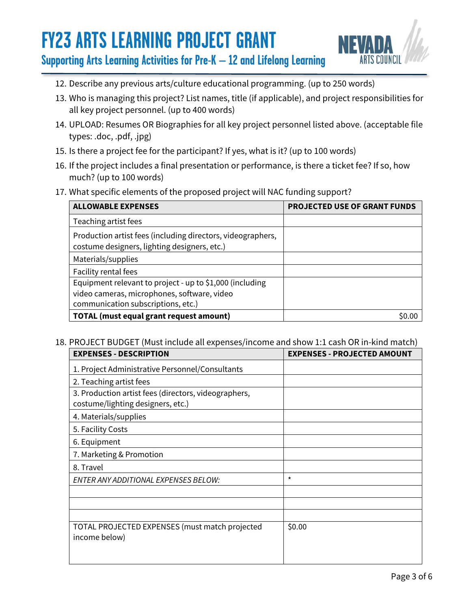

**Supporting Arts Learning Activities for Pre-K – 12 and Lifelong Learning**

- 12. Describe any previous arts/culture educational programming. (up to 250 words)
- 13. Who is managing this project? List names, title (if applicable), and project responsibilities for all key project personnel. (up to 400 words)
- 14. UPLOAD: Resumes OR Biographies for all key project personnel listed above. (acceptable file types: .doc, .pdf, .jpg)
- 15. Is there a project fee for the participant? If yes, what is it? (up to 100 words)
- 16. If the project includes a final presentation or performance, is there a ticket fee? If so, how much? (up to 100 words)
- 17. What specific elements of the proposed project will NAC funding support?

| <b>ALLOWABLE EXPENSES</b>                                                                                                                     | <b>PROJECTED USE OF GRANT FUNDS</b> |
|-----------------------------------------------------------------------------------------------------------------------------------------------|-------------------------------------|
| Teaching artist fees                                                                                                                          |                                     |
| Production artist fees (including directors, videographers,<br>costume designers, lighting designers, etc.)                                   |                                     |
| Materials/supplies                                                                                                                            |                                     |
| Facility rental fees                                                                                                                          |                                     |
| Equipment relevant to project - up to \$1,000 (including<br>video cameras, microphones, software, video<br>communication subscriptions, etc.) |                                     |
| <b>TOTAL (must equal grant request amount)</b>                                                                                                |                                     |

#### 18. PROJECT BUDGET (Must include all expenses/income and show 1:1 cash OR in-kind match)

| <b>EXPENSES - DESCRIPTION</b>                                                             | <b>EXPENSES - PROJECTED AMOUNT</b> |
|-------------------------------------------------------------------------------------------|------------------------------------|
| 1. Project Administrative Personnel/Consultants                                           |                                    |
| 2. Teaching artist fees                                                                   |                                    |
| 3. Production artist fees (directors, videographers,<br>costume/lighting designers, etc.) |                                    |
| 4. Materials/supplies                                                                     |                                    |
| 5. Facility Costs                                                                         |                                    |
| 6. Equipment                                                                              |                                    |
| 7. Marketing & Promotion                                                                  |                                    |
| 8. Travel                                                                                 |                                    |
| ENTER ANY ADDITIONAL EXPENSES BELOW:                                                      | $\star$                            |
|                                                                                           |                                    |
|                                                                                           |                                    |
|                                                                                           |                                    |
| TOTAL PROJECTED EXPENSES (must match projected<br>income below)                           | \$0.00                             |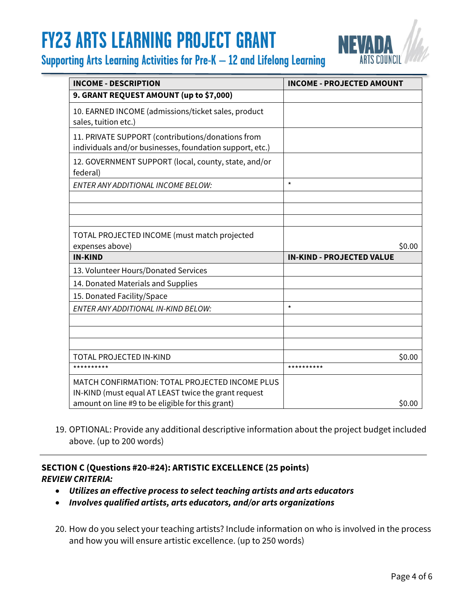



| <b>INCOME - DESCRIPTION</b>                                                                                   | <b>INCOME - PROJECTED AMOUNT</b> |
|---------------------------------------------------------------------------------------------------------------|----------------------------------|
| 9. GRANT REQUEST AMOUNT (up to \$7,000)                                                                       |                                  |
| 10. EARNED INCOME (admissions/ticket sales, product<br>sales, tuition etc.)                                   |                                  |
| 11. PRIVATE SUPPORT (contributions/donations from<br>individuals and/or businesses, foundation support, etc.) |                                  |
| 12. GOVERNMENT SUPPORT (local, county, state, and/or<br>federal)                                              |                                  |
| ENTER ANY ADDITIONAL INCOME BELOW:                                                                            | $\star$                          |
|                                                                                                               |                                  |
|                                                                                                               |                                  |
|                                                                                                               |                                  |
| TOTAL PROJECTED INCOME (must match projected                                                                  |                                  |
| expenses above)                                                                                               | \$0.00                           |
| <b>IN-KIND</b>                                                                                                | <b>IN-KIND - PROJECTED VALUE</b> |
| 13. Volunteer Hours/Donated Services                                                                          |                                  |
| 14. Donated Materials and Supplies                                                                            |                                  |
| 15. Donated Facility/Space                                                                                    |                                  |
| ENTER ANY ADDITIONAL IN-KIND BELOW:                                                                           | $\star$                          |
|                                                                                                               |                                  |
|                                                                                                               |                                  |
|                                                                                                               |                                  |
| TOTAL PROJECTED IN-KIND                                                                                       | \$0.00                           |
| **********                                                                                                    | **********                       |
| MATCH CONFIRMATION: TOTAL PROJECTED INCOME PLUS                                                               |                                  |
| IN-KIND (must equal AT LEAST twice the grant request                                                          |                                  |
| amount on line #9 to be eligible for this grant)                                                              | \$0.00                           |

19. OPTIONAL: Provide any additional descriptive information about the project budget included above. (up to 200 words)

#### **SECTION C (Questions #20-#24): ARTISTIC EXCELLENCE (25 points)** *REVIEW CRITERIA:*

- *Utilizes an effective process to select teaching artists and arts educators*
- *Involves qualified artists, arts educators, and/or arts organizations*
- 20. How do you select your teaching artists? Include information on who is involved in the process and how you will ensure artistic excellence. (up to 250 words)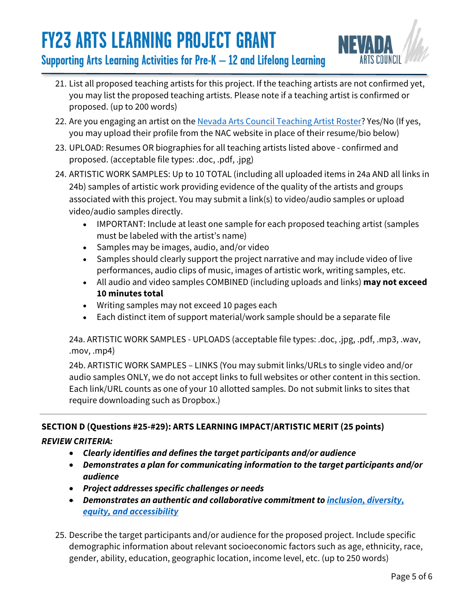

### **Supporting Arts Learning Activities for Pre-K – 12 and Lifelong Learning**

- 21. List all proposed teaching artists for this project. If the teaching artists are not confirmed yet, you may list the proposed teaching artists. Please note if a teaching artist is confirmed or proposed. (up to 200 words)
- 22. Are you engaging an artist on the [Nevada Arts Council Teaching Artist Roster?](https://www.nvartscouncil.org/rosters/teaching-artists/) Yes/No (If yes, you may upload their profile from the NAC website in place of their resume/bio below)
- 23. UPLOAD: Resumes OR biographies for all teaching artists listed above confirmed and proposed. (acceptable file types: .doc, .pdf, .jpg)
- 24. ARTISTIC WORK SAMPLES: Up to 10 TOTAL (including all uploaded items in 24a AND all links in 24b) samples of artistic work providing evidence of the quality of the artists and groups associated with this project. You may submit a link(s) to video/audio samples or upload video/audio samples directly.
	- IMPORTANT: Include at least one sample for each proposed teaching artist (samples must be labeled with the artist's name)
	- Samples may be images, audio, and/or video
	- Samples should clearly support the project narrative and may include video of live performances, audio clips of music, images of artistic work, writing samples, etc.
	- All audio and video samples COMBINED (including uploads and links) **may not exceed 10 minutes total**
	- Writing samples may not exceed 10 pages each
	- Each distinct item of support material/work sample should be a separate file

24a. ARTISTIC WORK SAMPLES - UPLOADS (acceptable file types: .doc, .jpg, .pdf, .mp3, .wav, .mov, .mp4)

24b. ARTISTIC WORK SAMPLES – LINKS (You may submit links/URLs to single video and/or audio samples ONLY, we do not accept links to full websites or other content in this section. Each link/URL counts as one of your 10 allotted samples. Do not submit links to sites that require downloading such as Dropbox.)

#### **SECTION D (Questions #25-#29): ARTS LEARNING IMPACT/ARTISTIC MERIT (25 points)**

#### *REVIEW CRITERIA:*

- *Clearly identifies and defines the target participants and/or audience*
- *Demonstrates a plan for communicating information to the target participants and/or audience*
- *Project addresses specific challenges or needs*
- *Demonstrates an authentic and collaborative commitment to [inclusion, diversity,](https://www.nvartscouncil.org/programs/community-arts-development/ideas/)  [equity, and accessibility](https://www.nvartscouncil.org/programs/community-arts-development/ideas/)*
- 25. Describe the target participants and/or audience for the proposed project. Include specific demographic information about relevant socioeconomic factors such as age, ethnicity, race, gender, ability, education, geographic location, income level, etc. (up to 250 words)